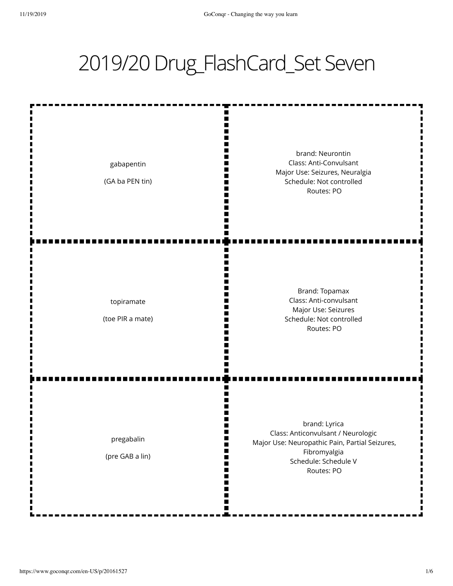## 2019/20 Drug\_FlashCard\_Set Seven

| gabapentin<br>(GA ba PEN tin)  | ш<br>brand: Neurontin<br>Class: Anti-Convulsant<br>Major Use: Seizures, Neuralgia<br>Schedule: Not controlled<br>Routes: PO                                 |
|--------------------------------|-------------------------------------------------------------------------------------------------------------------------------------------------------------|
| topiramate<br>(toe PIR a mate) | Brand: Topamax<br>Class: Anti-convulsant<br>Major Use: Seizures<br>Schedule: Not controlled<br>Routes: PO                                                   |
| pregabalin<br>(pre GAB a lin)  | brand: Lyrica<br>Class: Anticonvulsant / Neurologic<br>Major Use: Neuropathic Pain, Partial Seizures,<br>Fibromyalgia<br>Schedule: Schedule V<br>Routes: PO |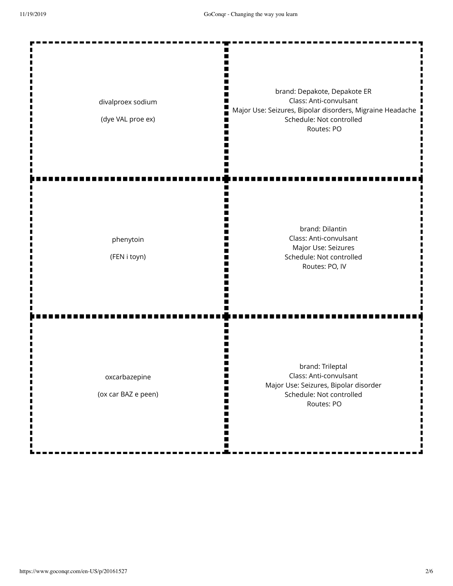e

--**MAG** 

| divalproex sodium<br>(dye VAL proe ex)         | brand: Depakote, Depakote ER<br>Class: Anti-convulsant<br>Major Use: Seizures, Bipolar disorders, Migraine Headache<br>Schedule: Not controlled<br>Routes: PO |
|------------------------------------------------|---------------------------------------------------------------------------------------------------------------------------------------------------------------|
| phenytoin<br>(FEN i toyn)                      | brand: Dilantin<br>Class: Anti-convulsant<br>Major Use: Seizures<br>Schedule: Not controlled<br>Routes: PO, IV                                                |
| oxcarbazepine<br>(ox car BAZ e peen)<br>m<br>ш | brand: Trileptal<br>Class: Anti-convulsant<br>Major Use: Seizures, Bipolar disorder<br>Schedule: Not controlled<br>Routes: PO                                 |

 $\blacksquare$ 

п

....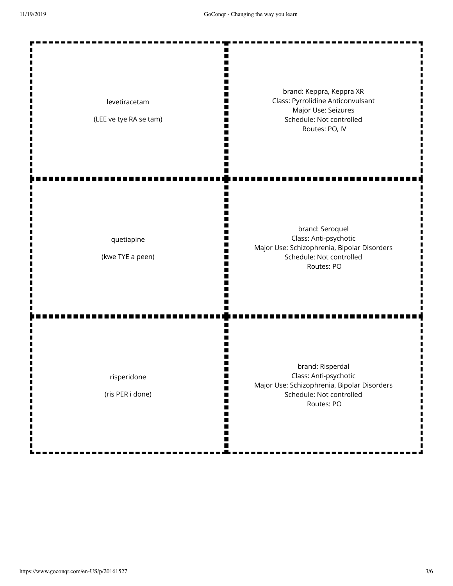| levetiracetam<br>(LEE ve tye RA se tam) | brand: Keppra, Keppra XR<br>Class: Pyrrolidine Anticonvulsant<br>Major Use: Seizures<br>Schedule: Not controlled<br>Routes: PO, IV |
|-----------------------------------------|------------------------------------------------------------------------------------------------------------------------------------|
| quetiapine<br>(kwe TYE a peen)          | brand: Seroquel<br>Class: Anti-psychotic<br>Major Use: Schizophrenia, Bipolar Disorders<br>Schedule: Not controlled<br>Routes: PO  |
| risperidone<br>(ris PER i done)         | brand: Risperdal<br>Class: Anti-psychotic<br>Major Use: Schizophrenia, Bipolar Disorders<br>Schedule: Not controlled<br>Routes: PO |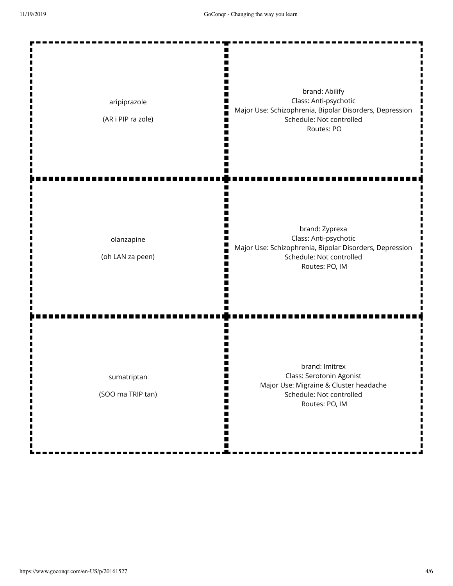| aripiprazole<br>(AR i PIP ra zole) | brand: Abilify<br>Class: Anti-psychotic<br>Major Use: Schizophrenia, Bipolar Disorders, Depression<br>Schedule: Not controlled<br>Routes: PO     |
|------------------------------------|--------------------------------------------------------------------------------------------------------------------------------------------------|
| olanzapine<br>(oh LAN za peen)     | brand: Zyprexa<br>Class: Anti-psychotic<br>Major Use: Schizophrenia, Bipolar Disorders, Depression<br>Schedule: Not controlled<br>Routes: PO, IM |
| sumatriptan<br>(SOO ma TRIP tan)   | brand: Imitrex<br>Class: Serotonin Agonist<br>Major Use: Migraine & Cluster headache<br>Schedule: Not controlled<br>Routes: PO, IM               |

Ā

L

í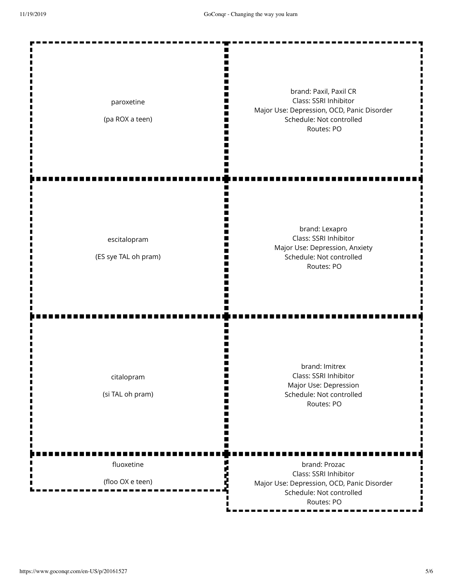